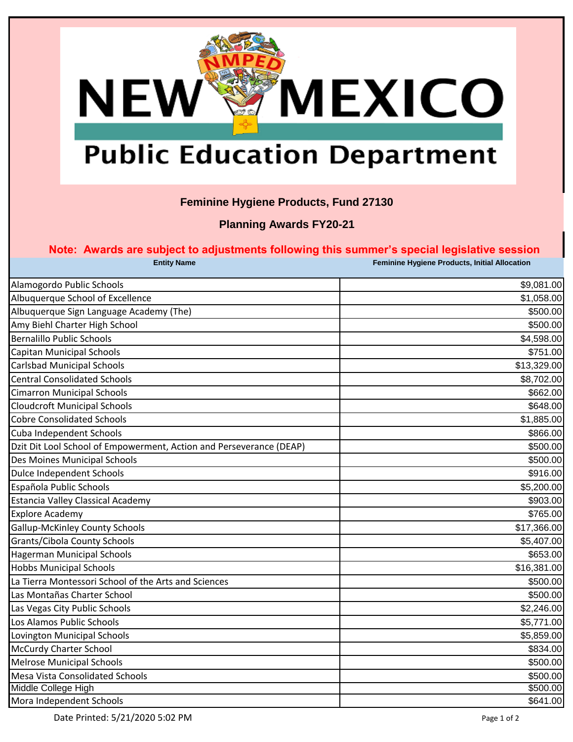

## **Public Education Department**

## **Feminine Hygiene Products, Fund 27130**

**Planning Awards FY20-21**

### **Note: Awards are subject to adjustments following this summer's special legislative session**

| <b>Entity Name</b>                                                  | Feminine Hygiene Products, Initial Allocation |
|---------------------------------------------------------------------|-----------------------------------------------|
| Alamogordo Public Schools                                           | \$9,081.00                                    |
| Albuquerque School of Excellence                                    | \$1,058.00                                    |
| Albuquerque Sign Language Academy (The)                             | \$500.00                                      |
| Amy Biehl Charter High School                                       | \$500.00                                      |
| <b>Bernalillo Public Schools</b>                                    | \$4,598.00                                    |
| Capitan Municipal Schools                                           | \$751.00                                      |
| Carlsbad Municipal Schools                                          | \$13,329.00                                   |
| <b>Central Consolidated Schools</b>                                 | \$8,702.00                                    |
| <b>Cimarron Municipal Schools</b>                                   | \$662.00                                      |
| <b>Cloudcroft Municipal Schools</b>                                 | \$648.00                                      |
| <b>Cobre Consolidated Schools</b>                                   | \$1,885.00                                    |
| Cuba Independent Schools                                            | \$866.00                                      |
| Dzit Dit Lool School of Empowerment, Action and Perseverance (DEAP) | \$500.00                                      |
| Des Moines Municipal Schools                                        | \$500.00                                      |
| Dulce Independent Schools                                           | \$916.00                                      |
| Española Public Schools                                             | \$5,200.00                                    |
| Estancia Valley Classical Academy                                   | \$903.00                                      |
| <b>Explore Academy</b>                                              | \$765.00                                      |
| <b>Gallup-McKinley County Schools</b>                               | \$17,366.00                                   |
| Grants/Cibola County Schools                                        | \$5,407.00                                    |
| <b>Hagerman Municipal Schools</b>                                   | \$653.00                                      |
| <b>Hobbs Municipal Schools</b>                                      | \$16,381.00                                   |
| La Tierra Montessori School of the Arts and Sciences                | \$500.00                                      |
| Las Montañas Charter School                                         | \$500.00                                      |
| Las Vegas City Public Schools                                       | \$2,246.00                                    |
| Los Alamos Public Schools                                           | \$5,771.00                                    |
| Lovington Municipal Schools                                         | \$5,859.00                                    |
| McCurdy Charter School                                              | \$834.00                                      |
| <b>Melrose Municipal Schools</b>                                    | \$500.00                                      |
| Mesa Vista Consolidated Schools                                     | \$500.00                                      |
| Middle College High                                                 | \$500.00                                      |
| Mora Independent Schools                                            | \$641.00                                      |